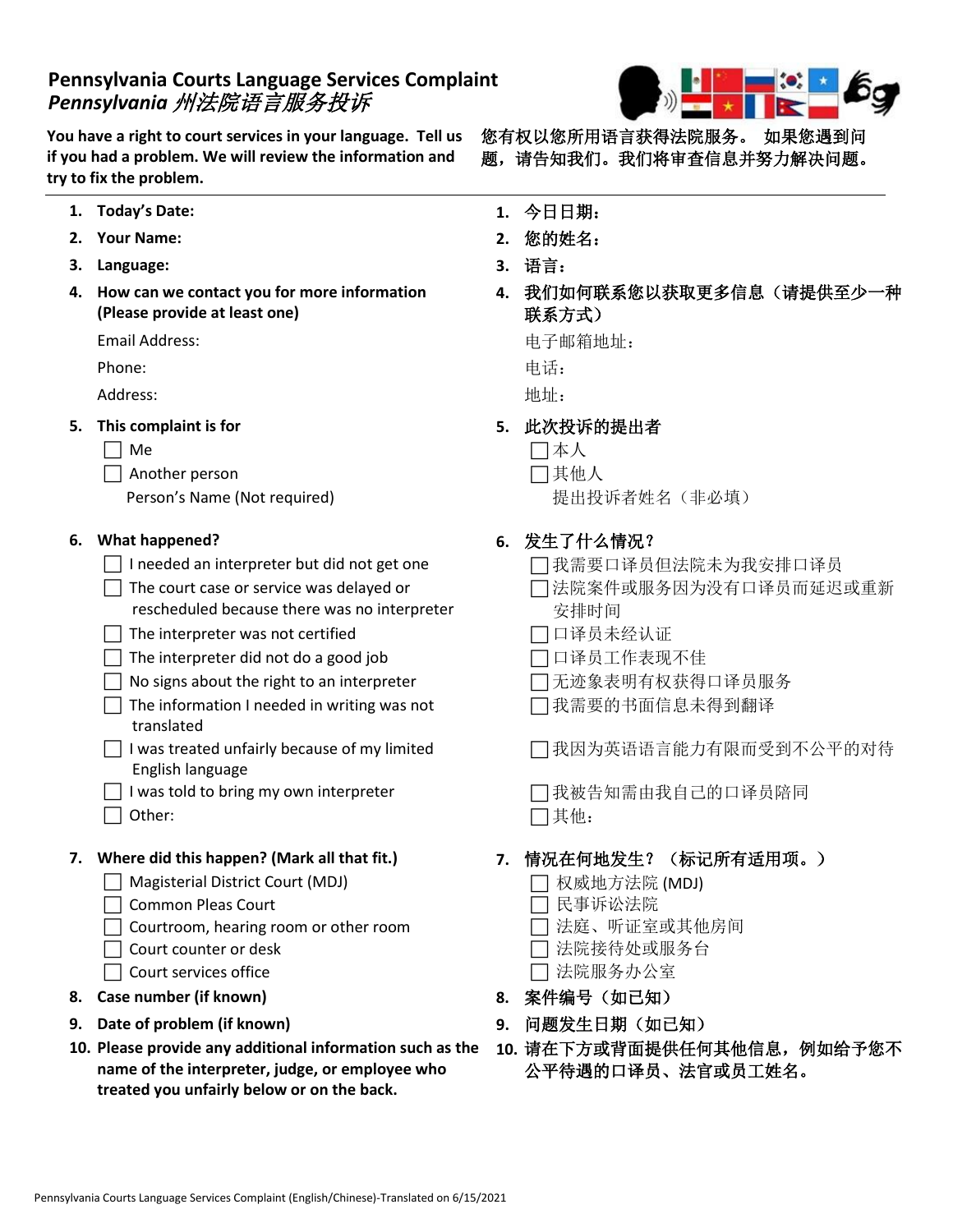## **Pennsylvania Courts Language Services Complaint** *Pennsylvania* 州法院语言服务投诉

**You have a right to court services in your language. Tell us if you had a problem. We will review the information and try to fix the problem.**

- **1. Today's Date: 1.** 今日日期:
- **2. Your Name: 2.** 您的姓名:
- **3. Language: 3.** 语言:
- **4. How can we contact you for more information (Please provide at least one)**

Email Address: 电子邮箱地址:

Phone: 电话:

 $\blacksquare$ Address: 地址:

- **5. This complaint is for 5.** 此次投诉的提出者
	-

Another person 其他人

Person's Name (Not required) and the context of 提出投诉者姓名(非必填)

- □ I needed an interpreter but did not get one □ 四我需要口译员但法院未为我安排口译员
- $\Box$  The court case or service was delayed or rescheduled because there was no interpreter
- □ The interpreter was not certified <br>□ □译员未经认证
- □ The interpreter did not do a good job □ □ □译员工作表现不佳
- □ No signs about the right to an interpreter <br>□ 无迹象表明有权获得口译员服务
- $\Box$  The information I needed in writing was not translated
- $\Box$  I was treated unfairly because of my limited English language
- □ I was told to bring my own interpreter <br>□ 我被告知需由我自己的口译员陪同
- □ Other:  $\Box$  英他:

- Magisterial District Court (MDJ) 权威地方法院 (MDJ)
- □ Common Pleas Court □ 民事诉讼法院
- □ Courtroom, hearing room or other room □ □ 法庭、听证室或其他房间
	-
- □ Court services office スペット マンクリット マンクロン つき おんない こうしょう こうしょう こうしょう こうしょう こうしょう こうしょう こうしょう こうしょう こうしゃ こうしょう
- **8. Case number (if known) 8.** 案件编号(如已知)
- **9. Date of problem (if known) 9.** 问题发生日期(如已知)
- **10. Please provide any additional information such as the 10.** 请在下方或背面提供任何其他信息,例如给予您不 **name of the interpreter, judge, or employee who treated you unfairly below or on the back.**



您有权以您所用语言获得法院服务。如果您遇到问 题,请告知我们。我们将审查信息并努力解决问题。

- 
- 
- 
- **4.** 我们如何联系您以获取更多信息(请提供至少一种 联系方式)

- 
- Me 本人
	- -

### **6. What happened? 6.** 发生了什么情况?

- 
- □法院案件或服务因为没有口译员而延迟或重新 安排时间
- 
- 
- 
- 我需要的书面信息未得到翻译

我因为英语语言能力有限而受到不公平的对待

### **7. Where did this happen? (Mark all that fit.) 7.** 情况在何地发生?(标记所有适用项。)

- 
- 
- 
- Court counter or desk 法院接待处或服务台
	-
	-
	-
	- 公平待遇的口译员、法官或员工姓名。